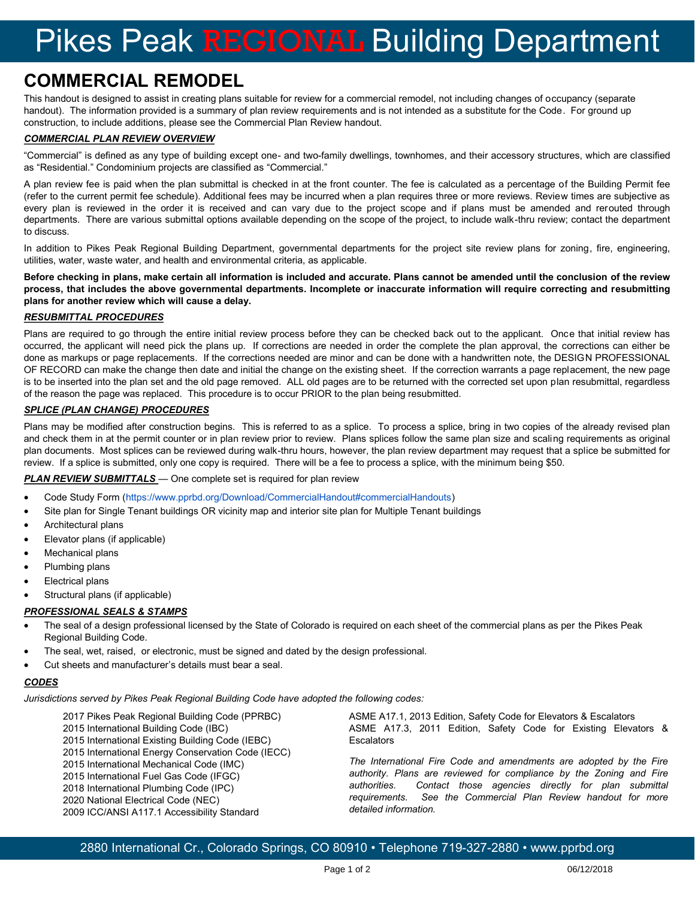# Pikes Peak REGIONAL Building Department

## **COMMERCIAL REMODEL**

This handout is designed to assist in creating plans suitable for review for a commercial remodel, not including changes of occupancy (separate handout). The information provided is a summary of plan review requirements and is not intended as a substitute for the Code. For ground up construction, to include additions, please see the Commercial Plan Review handout.

#### *COMMERCIAL PLAN REVIEW OVERVIEW*

"Commercial" is defined as any type of building except one- and two-family dwellings, townhomes, and their accessory structures, which are classified as "Residential." Condominium projects are classified as "Commercial."

A plan review fee is paid when the plan submittal is checked in at the front counter. The fee is calculated as a percentage of the Building Permit fee (refer to the current permit fee schedule). Additional fees may be incurred when a plan requires three or more reviews. Review times are subjective as every plan is reviewed in the order it is received and can vary due to the project scope and if plans must be amended and rerouted through departments. There are various submittal options available depending on the scope of the project, to include walk-thru review; contact the department to discuss.

In addition to Pikes Peak Regional Building Department, governmental departments for the project site review plans for zoning, fire, engineering, utilities, water, waste water, and health and environmental criteria, as applicable.

**Before checking in plans, make certain all information is included and accurate. Plans cannot be amended until the conclusion of the review process, that includes the above governmental departments. Incomplete or inaccurate information will require correcting and resubmitting plans for another review which will cause a delay.**

#### *RESUBMITTAL PROCEDURES*

Plans are required to go through the entire initial review process before they can be checked back out to the applicant. Once that initial review has occurred, the applicant will need pick the plans up. If corrections are needed in order the complete the plan approval, the corrections can either be done as markups or page replacements. If the corrections needed are minor and can be done with a handwritten note, the DESIGN PROFESSIONAL OF RECORD can make the change then date and initial the change on the existing sheet. If the correction warrants a page replacement, the new page is to be inserted into the plan set and the old page removed. ALL old pages are to be returned with the corrected set upon plan resubmittal, regardless of the reason the page was replaced. This procedure is to occur PRIOR to the plan being resubmitted.

#### *SPLICE (PLAN CHANGE) PROCEDURES*

Plans may be modified after construction begins. This is referred to as a splice. To process a splice, bring in two copies of the already revised plan and check them in at the permit counter or in plan review prior to review. Plans splices follow the same plan size and scaling requirements as original plan documents. Most splices can be reviewed during walk-thru hours, however, the plan review department may request that a splice be submitted for review. If a splice is submitted, only one copy is required. There will be a fee to process a splice, with the minimum being \$50.

#### *PLAN REVIEW SUBMITTALS* — One complete set is required for plan review

- Code Study Form (https://www.pprbd.org/Download/CommercialHandout#commercialHandouts)
- Site plan for Single Tenant buildings OR vicinity map and interior site plan for Multiple Tenant buildings
- Architectural plans
- Elevator plans (if applicable)
- Mechanical plans
- Plumbing plans
- Electrical plans
- Structural plans (if applicable)

#### *PROFESSIONAL SEALS & STAMPS*

- The seal of a design professional licensed by the State of Colorado is required on each sheet of the commercial plans as per the Pikes Peak Regional Building Code.
- The seal, wet, raised, or electronic, must be signed and dated by the design professional.
- Cut sheets and manufacturer's details must bear a seal.

#### *CODES*

*Jurisdictions served by Pikes Peak Regional Building Code have adopted the following codes:*

- 2017 Pikes Peak Regional Building Code (PPRBC)
- 2015 International Building Code (IBC)
- 2015 International Existing Building Code (IEBC)
- 2015 International Energy Conservation Code (IECC)
- 2015 International Mechanical Code (IMC)
- 2015 International Fuel Gas Code (IFGC)
- 2018 International Plumbing Code (IPC)
- 2020 National Electrical Code (NEC)
- 2009 ICC/ANSI A117.1 Accessibility Standard

ASME A17.1, 2013 Edition, Safety Code for Elevators & Escalators ASME A17.3, 2011 Edition, Safety Code for Existing Elevators & **Escalators** 

*The International Fire Code and amendments are adopted by the Fire authority. Plans are reviewed for compliance by the Zoning and Fire authorities. Contact those agencies directly for plan submittal requirements. See the Commercial Plan Review handout for more detailed information.* 

2880 International Cr., Colorado Springs, CO 80910 • Telephone 719-327-2880 • www.pprbd.org